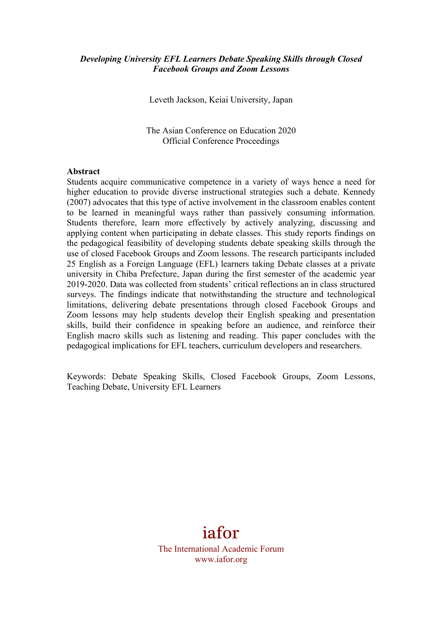#### *Developing University EFL Learners Debate Speaking Skills through Closed Facebook Groups and Zoom Lessons*

Leveth Jackson, Keiai University, Japan

The Asian Conference on Education 2020 Official Conference Proceedings

#### **Abstract**

Students acquire communicative competence in a variety of ways hence a need for higher education to provide diverse instructional strategies such a debate. Kennedy (2007) advocates that this type of active involvement in the classroom enables content to be learned in meaningful ways rather than passively consuming information. Students therefore, learn more effectively by actively analyzing, discussing and applying content when participating in debate classes. This study reports findings on the pedagogical feasibility of developing students debate speaking skills through the use of closed Facebook Groups and Zoom lessons. The research participants included 25 English as a Foreign Language (EFL) learners taking Debate classes at a private university in Chiba Prefecture, Japan during the first semester of the academic year 2019-2020. Data was collected from students' critical reflections an in class structured surveys. The findings indicate that notwithstanding the structure and technological limitations, delivering debate presentations through closed Facebook Groups and Zoom lessons may help students develop their English speaking and presentation skills, build their confidence in speaking before an audience, and reinforce their English macro skills such as listening and reading. This paper concludes with the pedagogical implications for EFL teachers, curriculum developers and researchers.

Keywords: Debate Speaking Skills, Closed Facebook Groups, Zoom Lessons, Teaching Debate, University EFL Learners

# iafor

The International Academic Forum www.iafor.org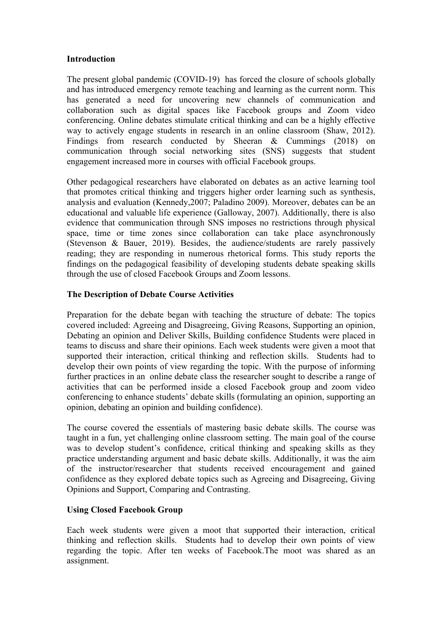#### **Introduction**

The present global pandemic (COVID-19) has forced the closure of schools globally and has introduced emergency remote teaching and learning as the current norm. This has generated a need for uncovering new channels of communication and collaboration such as digital spaces like Facebook groups and Zoom video conferencing. Online debates stimulate critical thinking and can be a highly effective way to actively engage students in research in an online classroom (Shaw, 2012). Findings from research conducted by Sheeran & Cummings (2018) on communication through social networking sites (SNS) suggests that student engagement increased more in courses with official Facebook groups.

Other pedagogical researchers have elaborated on debates as an active learning tool that promotes critical thinking and triggers higher order learning such as synthesis, analysis and evaluation (Kennedy,2007; Paladino 2009). Moreover, debates can be an educational and valuable life experience (Galloway, 2007). Additionally, there is also evidence that communication through SNS imposes no restrictions through physical space, time or time zones since collaboration can take place asynchronously (Stevenson & Bauer, 2019). Besides, the audience/students are rarely passively reading; they are responding in numerous rhetorical forms. This study reports the findings on the pedagogical feasibility of developing students debate speaking skills through the use of closed Facebook Groups and Zoom lessons.

## **The Description of Debate Course Activities**

Preparation for the debate began with teaching the structure of debate: The topics covered included: Agreeing and Disagreeing, Giving Reasons, Supporting an opinion, Debating an opinion and Deliver Skills, Building confidence Students were placed in teams to discuss and share their opinions. Each week students were given a moot that supported their interaction, critical thinking and reflection skills. Students had to develop their own points of view regarding the topic. With the purpose of informing further practices in an online debate class the researcher sought to describe a range of activities that can be performed inside a closed Facebook group and zoom video conferencing to enhance students' debate skills (formulating an opinion, supporting an opinion, debating an opinion and building confidence).

The course covered the essentials of mastering basic debate skills. The course was taught in a fun, yet challenging online classroom setting. The main goal of the course was to develop student's confidence, critical thinking and speaking skills as they practice understanding argument and basic debate skills. Additionally, it was the aim of the instructor/researcher that students received encouragement and gained confidence as they explored debate topics such as Agreeing and Disagreeing, Giving Opinions and Support, Comparing and Contrasting.

## **Using Closed Facebook Group**

Each week students were given a moot that supported their interaction, critical thinking and reflection skills. Students had to develop their own points of view regarding the topic. After ten weeks of Facebook.The moot was shared as an assignment.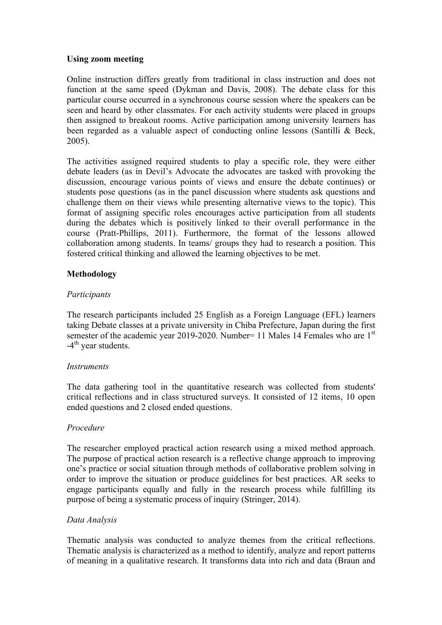#### **Using zoom meeting**

Online instruction differs greatly from traditional in class instruction and does not function at the same speed (Dykman and Davis, 2008). The debate class for this particular course occurred in a synchronous course session where the speakers can be seen and heard by other classmates. For each activity students were placed in groups then assigned to breakout rooms. Active participation among university learners has been regarded as a valuable aspect of conducting online lessons (Santilli & Beck, 2005).

The activities assigned required students to play a specific role, they were either debate leaders (as in Devil's Advocate the advocates are tasked with provoking the discussion, encourage various points of views and ensure the debate continues) or students pose questions (as in the panel discussion where students ask questions and challenge them on their views while presenting alternative views to the topic). This format of assigning specific roles encourages active participation from all students during the debates which is positively linked to their overall performance in the course (Pratt-Phillips, 2011). Furthermore, the format of the lessons allowed collaboration among students. In teams/ groups they had to research a position. This fostered critical thinking and allowed the learning objectives to be met.

## **Methodology**

## *Participants*

The research participants included 25 English as a Foreign Language (EFL) learners taking Debate classes at a private university in Chiba Prefecture, Japan during the first semester of the academic year 2019-2020. Number= 11 Males 14 Females who are 1<sup>st</sup>  $-4$ <sup>th</sup> year students.

## *Instruments*

The data gathering tool in the quantitative research was collected from students' critical reflections and in class structured surveys. It consisted of 12 items, 10 open ended questions and 2 closed ended questions.

## *Procedure*

The researcher employed practical action research using a mixed method approach. The purpose of practical action research is a reflective change approach to improving one's practice or social situation through methods of collaborative problem solving in order to improve the situation or produce guidelines for best practices. AR seeks to engage participants equally and fully in the research process while fulfilling its purpose of being a systematic process of inquiry (Stringer, 2014).

## *Data Analysis*

Thematic analysis was conducted to analyze themes from the critical reflections. Thematic analysis is characterized as a method to identify, analyze and report patterns of meaning in a qualitative research. It transforms data into rich and data (Braun and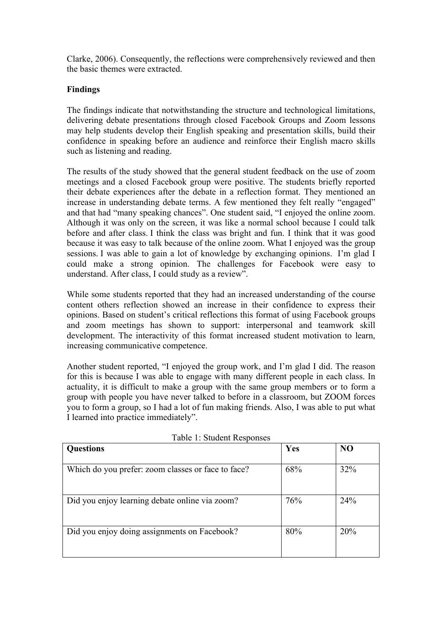Clarke, 2006). Consequently, the reflections were comprehensively reviewed and then the basic themes were extracted.

## **Findings**

The findings indicate that notwithstanding the structure and technological limitations, delivering debate presentations through closed Facebook Groups and Zoom lessons may help students develop their English speaking and presentation skills, build their confidence in speaking before an audience and reinforce their English macro skills such as listening and reading.

The results of the study showed that the general student feedback on the use of zoom meetings and a closed Facebook group were positive. The students briefly reported their debate experiences after the debate in a reflection format. They mentioned an increase in understanding debate terms. A few mentioned they felt really "engaged" and that had "many speaking chances". One student said, "I enjoyed the online zoom. Although it was only on the screen, it was like a normal school because I could talk before and after class. I think the class was bright and fun. I think that it was good because it was easy to talk because of the online zoom. What I enjoyed was the group sessions. I was able to gain a lot of knowledge by exchanging opinions. I'm glad I could make a strong opinion. The challenges for Facebook were easy to understand. After class, I could study as a review".

While some students reported that they had an increased understanding of the course content others reflection showed an increase in their confidence to express their opinions. Based on student's critical reflections this format of using Facebook groups and zoom meetings has shown to support: interpersonal and teamwork skill development. The interactivity of this format increased student motivation to learn, increasing communicative competence.

Another student reported, "I enjoyed the group work, and I'm glad I did. The reason for this is because I was able to engage with many different people in each class. In actuality, it is difficult to make a group with the same group members or to form a group with people you have never talked to before in a classroom, but ZOOM forces you to form a group, so I had a lot of fun making friends. Also, I was able to put what I learned into practice immediately".

| <b>Questions</b>                                   | Yes | N <sub>O</sub> |
|----------------------------------------------------|-----|----------------|
| Which do you prefer: zoom classes or face to face? | 68% | 32%            |
| Did you enjoy learning debate online via zoom?     | 76% | 24%            |
| Did you enjoy doing assignments on Facebook?       | 80% | 20%            |

Table 1: Student Responses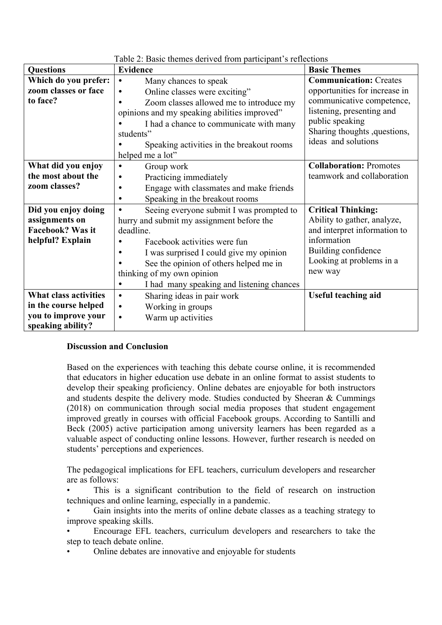| radio 2. Dasio thomes derived from participant s'ichections |                                                        |                                |  |
|-------------------------------------------------------------|--------------------------------------------------------|--------------------------------|--|
| <b>Questions</b>                                            | <b>Evidence</b>                                        | <b>Basic Themes</b>            |  |
| Which do you prefer:                                        | Many chances to speak<br>$\bullet$                     | <b>Communication: Creates</b>  |  |
| zoom classes or face                                        | Online classes were exciting"<br>$\bullet$             | opportunities for increase in  |  |
| to face?                                                    | Zoom classes allowed me to introduce my<br>$\bullet$   | communicative competence,      |  |
|                                                             | opinions and my speaking abilities improved"           | listening, presenting and      |  |
|                                                             | I had a chance to communicate with many                | public speaking                |  |
|                                                             | students"                                              | Sharing thoughts , questions,  |  |
|                                                             | Speaking activities in the breakout rooms              | ideas and solutions            |  |
|                                                             | helped me a lot"                                       |                                |  |
| What did you enjoy                                          | Group work<br>$\bullet$                                | <b>Collaboration: Promotes</b> |  |
| the most about the                                          | Practicing immediately<br>$\bullet$                    | teamwork and collaboration     |  |
| zoom classes?                                               | Engage with classmates and make friends<br>$\bullet$   |                                |  |
|                                                             | Speaking in the breakout rooms<br>$\bullet$            |                                |  |
| Did you enjoy doing                                         | Seeing everyone submit I was prompted to<br>$\bullet$  | <b>Critical Thinking:</b>      |  |
| assignments on                                              | hurry and submit my assignment before the              | Ability to gather, analyze,    |  |
| Facebook? Was it                                            | deadline.                                              | and interpret information to   |  |
| helpful? Explain                                            | Facebook activities were fun                           | information                    |  |
|                                                             | I was surprised I could give my opinion                | Building confidence            |  |
|                                                             | See the opinion of others helped me in                 | Looking at problems in a       |  |
|                                                             | thinking of my own opinion                             | new way                        |  |
|                                                             | I had many speaking and listening chances<br>$\bullet$ |                                |  |
| <b>What class activities</b>                                | Sharing ideas in pair work<br>$\bullet$                | <b>Useful teaching aid</b>     |  |
| in the course helped                                        | Working in groups<br>$\bullet$                         |                                |  |
| you to improve your                                         | Warm up activities<br>$\bullet$                        |                                |  |
| speaking ability?                                           |                                                        |                                |  |

## Table 2: Basic themes derived from participant's reflections

#### **Discussion and Conclusion**

Based on the experiences with teaching this debate course online, it is recommended that educators in higher education use debate in an online format to assist students to develop their speaking proficiency. Online debates are enjoyable for both instructors and students despite the delivery mode. Studies conducted by Sheeran  $&$  Cummings (2018) on communication through social media proposes that student engagement improved greatly in courses with official Facebook groups. According to Santilli and Beck (2005) active participation among university learners has been regarded as a valuable aspect of conducting online lessons. However, further research is needed on students' perceptions and experiences.

The pedagogical implications for EFL teachers, curriculum developers and researcher are as follows:

This is a significant contribution to the field of research on instruction techniques and online learning, especially in a pandemic.

• Gain insights into the merits of online debate classes as a teaching strategy to improve speaking skills.

• Encourage EFL teachers, curriculum developers and researchers to take the step to teach debate online.

• Online debates are innovative and enjoyable for students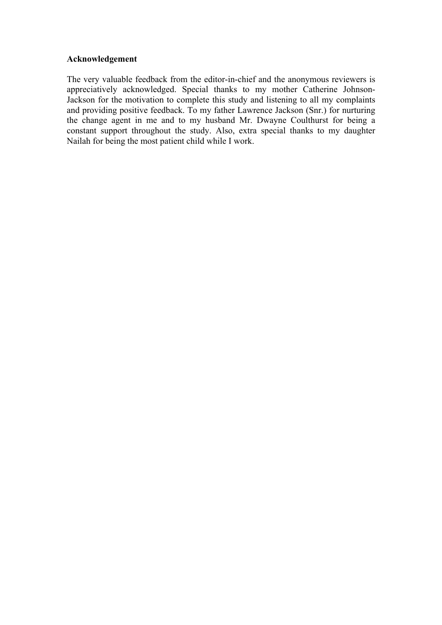#### **Acknowledgement**

The very valuable feedback from the editor-in-chief and the anonymous reviewers is appreciatively acknowledged. Special thanks to my mother Catherine Johnson-Jackson for the motivation to complete this study and listening to all my complaints and providing positive feedback. To my father Lawrence Jackson (Snr.) for nurturing the change agent in me and to my husband Mr. Dwayne Coulthurst for being a constant support throughout the study. Also, extra special thanks to my daughter Nailah for being the most patient child while I work.